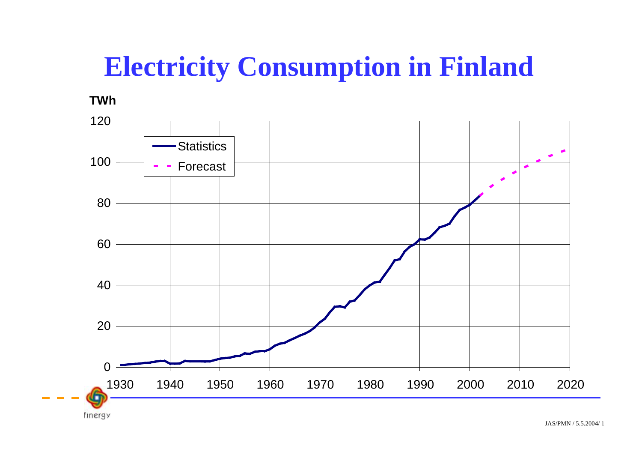# **Electricity Consumption in Finland**

**TWh**

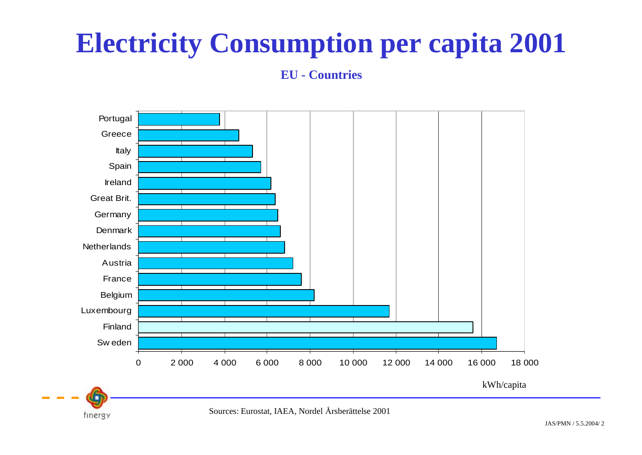# **Electricity Consumption per capita 2001**

**EU - Countries**



Sources: Eurostat, IAEA, Nordel Årsberättelse 2001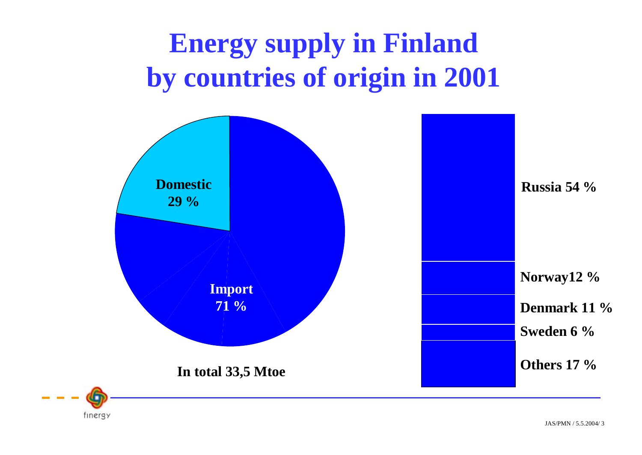# **Energy supply in Finland by countries of origin in 2001**

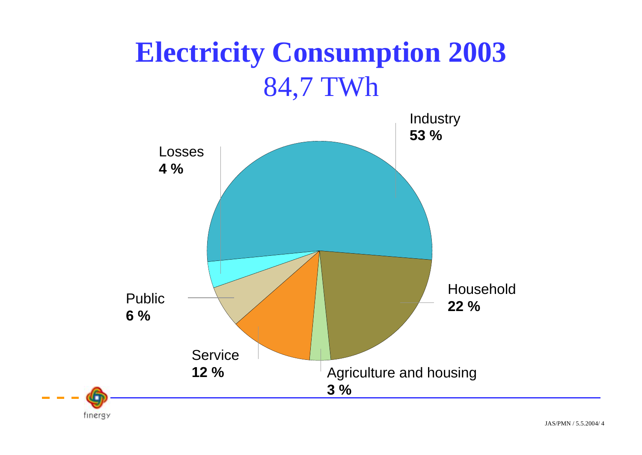# **Electricity Consumption 2003** 84,7 TWh



JAS/PMN / 5.5.2004/ 4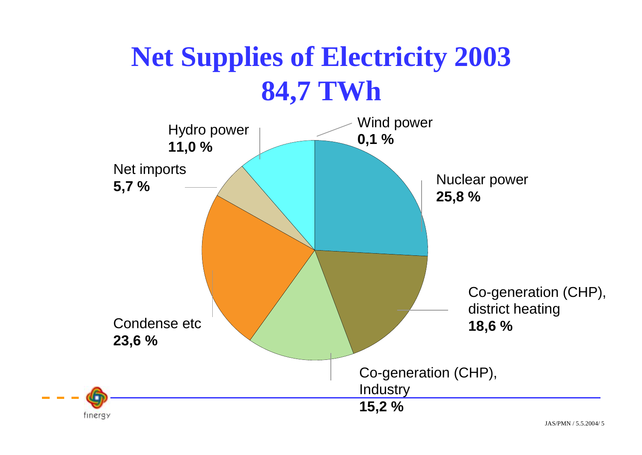# **Net Supplies of Electricity 2003 84,7 TWh**

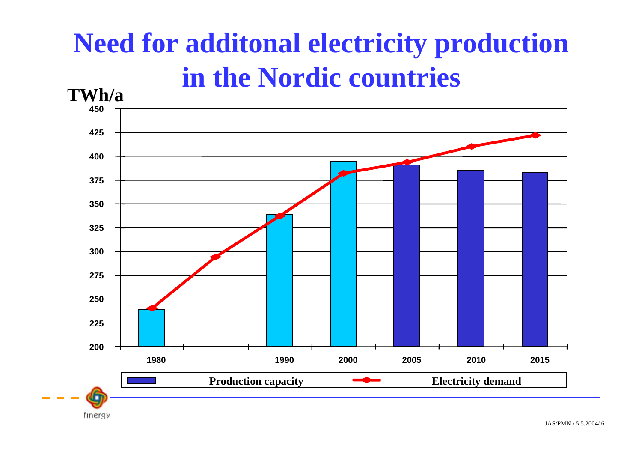# **Need for additonal electricity production in the Nordic countries**

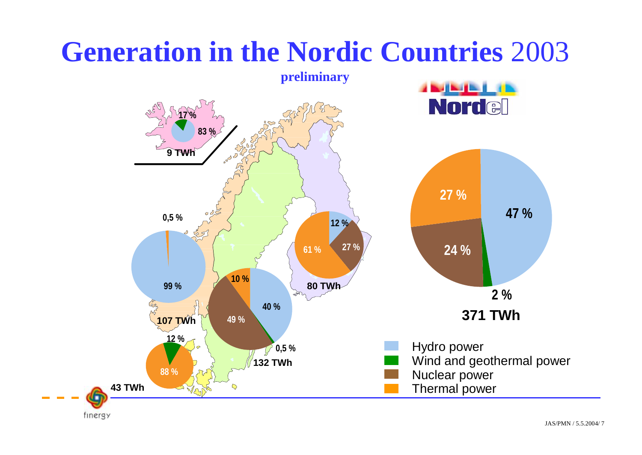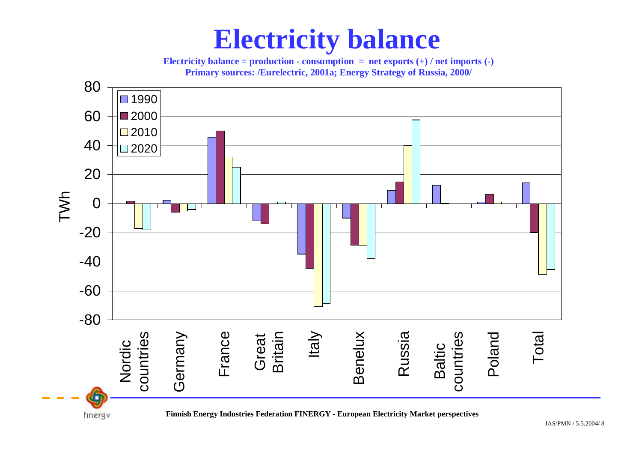#### **Electricity balance**

**Electricity balance = production - consumption = net exports**  $(+)$  **/ net imports**  $(-)$ **Primary sources: /Eurelectric, 2001a; Energy Strategy of Russia, 2000/**

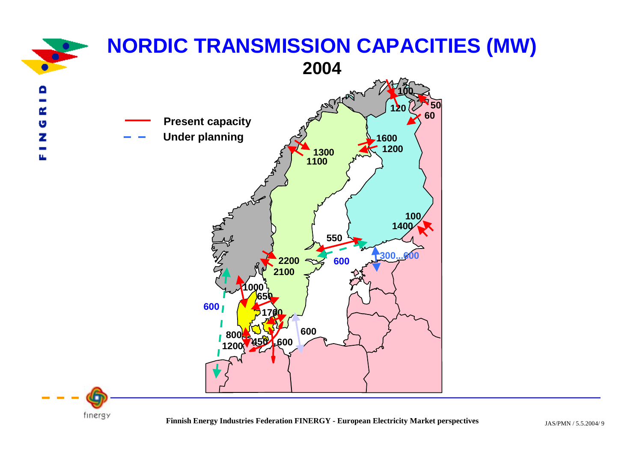

**Finnis** JAS/PMN / 5.5.2004/ 9 **h Energy Industries Federation FINERGY - European Electricity Market perspectives**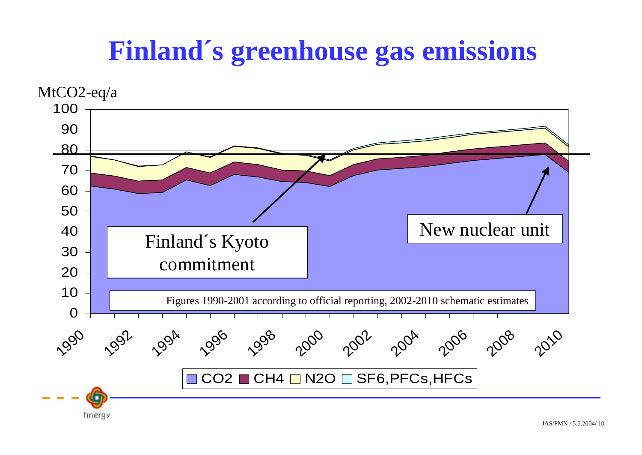### **Finland´s greenhouse gas emissions**

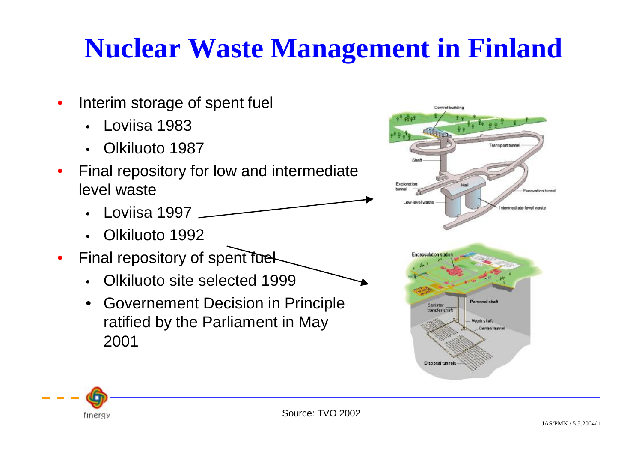# **Nuclear Waste Management in Finland**

- Interim storage of spent fuel
	- Loviisa 1983
	- Olkiluoto 1987
- Final repository for low and intermediate level waste
	- Loviisa 1997
	- Olkiluoto 1992
- Final repository of spent fuel
	- Olkiluoto site selected 1999
	- Governement Decision in Principle ratified by the Parliament in May 2001



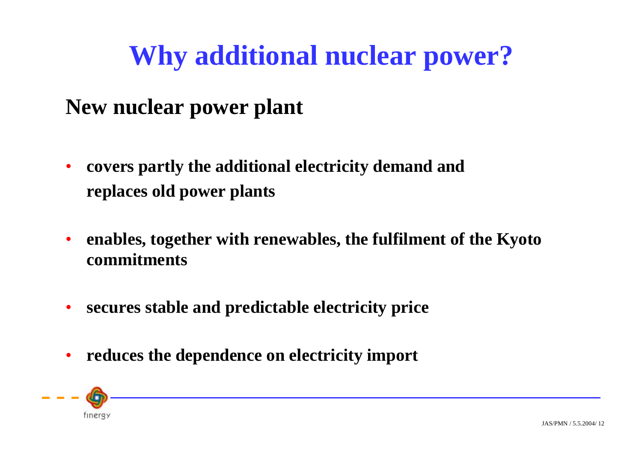# **Why additional nuclear power?**

#### **New nuclear power plant**

- **covers partly the additional electricity demand and replaces old power plants**
- **enables, together with renewables, the fulfilment of the Kyoto commitments**
- **secures stable and predictable electricity price**
- **reduces the dependence on electricity import**

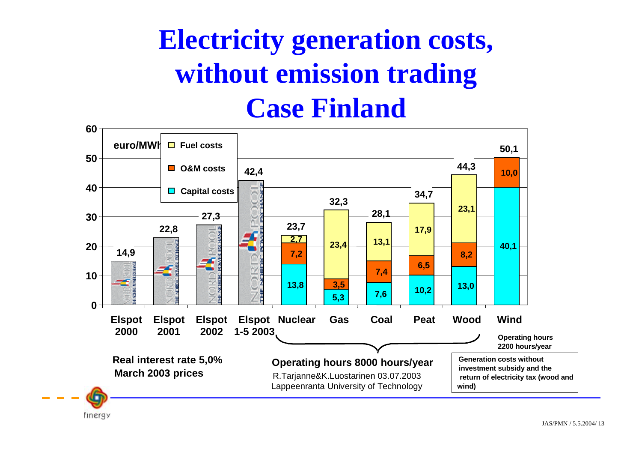# **Electricity generation costs, without emission trading Case Finland**